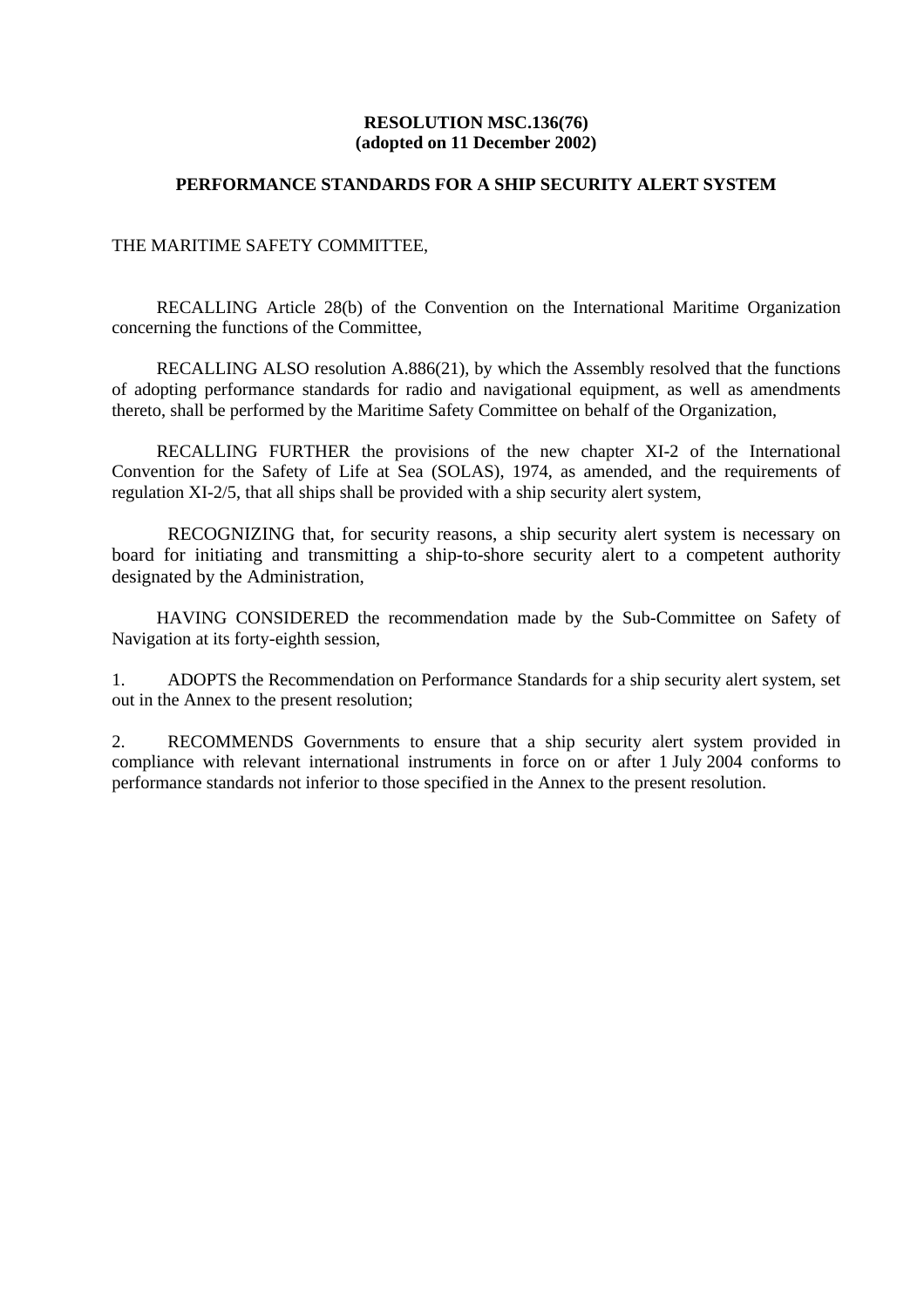#### **RESOLUTION MSC.136(76) (adopted on 11 December 2002)**

#### **PERFORMANCE STANDARDS FOR A SHIP SECURITY ALERT SYSTEM**

#### THE MARITIME SAFETY COMMITTEE,

RECALLING Article 28(b) of the Convention on the International Maritime Organization concerning the functions of the Committee,

 RECALLING ALSO resolution A.886(21), by which the Assembly resolved that the functions of adopting performance standards for radio and navigational equipment, as well as amendments thereto, shall be performed by the Maritime Safety Committee on behalf of the Organization,

RECALLING FURTHER the provisions of the new chapter XI-2 of the International Convention for the Safety of Life at Sea (SOLAS), 1974, as amended, and the requirements of regulation XI-2/5, that all ships shall be provided with a ship security alert system,

 RECOGNIZING that, for security reasons, a ship security alert system is necessary on board for initiating and transmitting a ship-to-shore security alert to a competent authority designated by the Administration,

HAVING CONSIDERED the recommendation made by the Sub-Committee on Safety of Navigation at its forty-eighth session,

1. ADOPTS the Recommendation on Performance Standards for a ship security alert system, set out in the Annex to the present resolution;

2. RECOMMENDS Governments to ensure that a ship security alert system provided in compliance with relevant international instruments in force on or after 1 July 2004 conforms to performance standards not inferior to those specified in the Annex to the present resolution.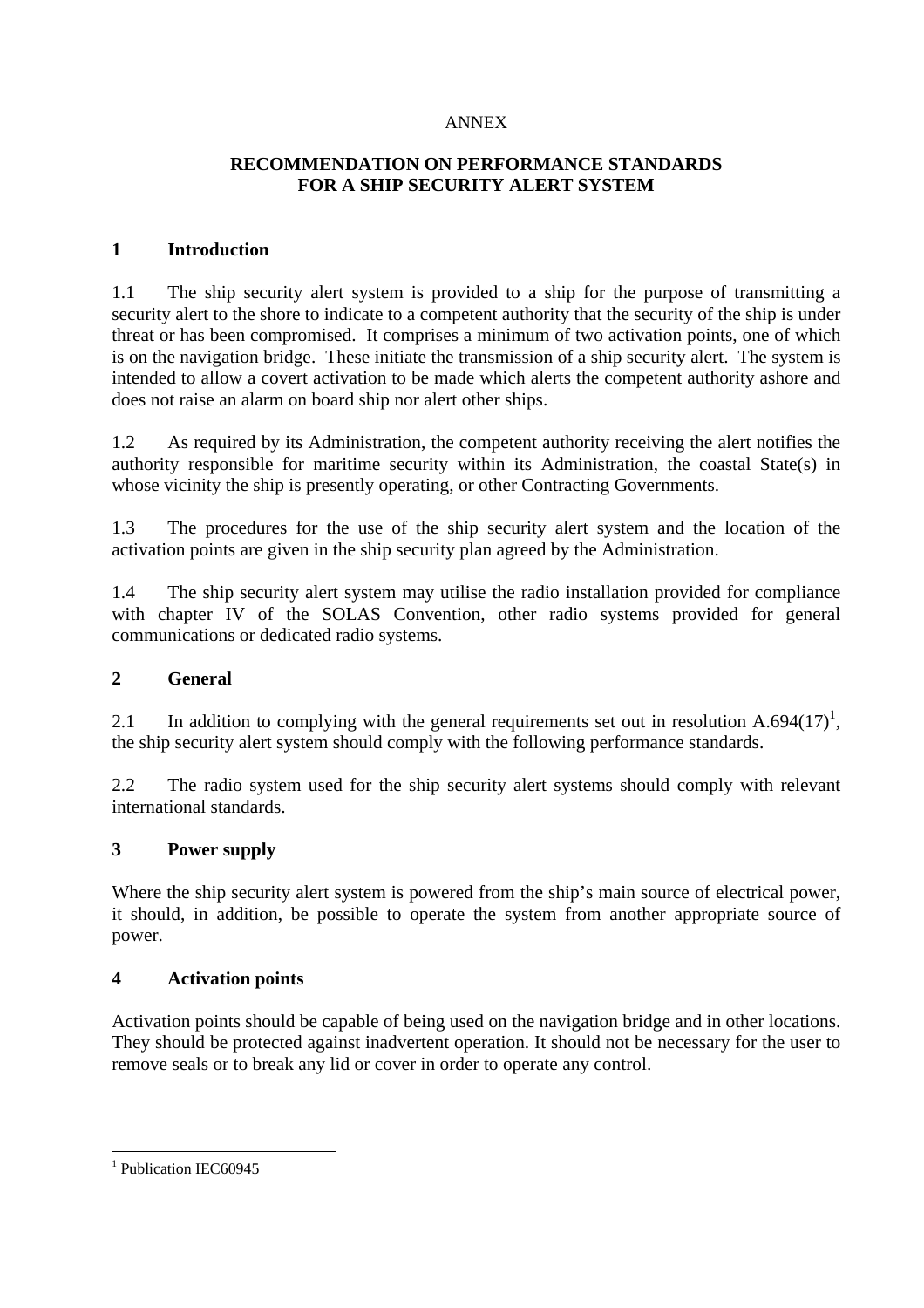#### ANNEX

# **RECOMMENDATION ON PERFORMANCE STANDARDS FOR A SHIP SECURITY ALERT SYSTEM**

### **1 Introduction**

1.1 The ship security alert system is provided to a ship for the purpose of transmitting a security alert to the shore to indicate to a competent authority that the security of the ship is under threat or has been compromised. It comprises a minimum of two activation points, one of which is on the navigation bridge. These initiate the transmission of a ship security alert. The system is intended to allow a covert activation to be made which alerts the competent authority ashore and does not raise an alarm on board ship nor alert other ships.

1.2 As required by its Administration, the competent authority receiving the alert notifies the authority responsible for maritime security within its Administration, the coastal State(s) in whose vicinity the ship is presently operating, or other Contracting Governments.

1.3 The procedures for the use of the ship security alert system and the location of the activation points are given in the ship security plan agreed by the Administration.

1.4 The ship security alert system may utilise the radio installation provided for compliance with chapter IV of the SOLAS Convention, other radio systems provided for general communications or dedicated radio systems.

## **2 General**

2.1 In addition to complying with the general requirements set out in resolution A.694 $(17)^1$ , the ship security alert system should comply with the following performance standards.

2.2 The radio system used for the ship security alert systems should comply with relevant international standards.

## **3 Power supply**

Where the ship security alert system is powered from the ship's main source of electrical power, it should, in addition, be possible to operate the system from another appropriate source of power.

### **4 Activation points**

Activation points should be capable of being used on the navigation bridge and in other locations. They should be protected against inadvertent operation. It should not be necessary for the user to remove seals or to break any lid or cover in order to operate any control.

 $\overline{a}$ <sup>1</sup> Publication IEC60945